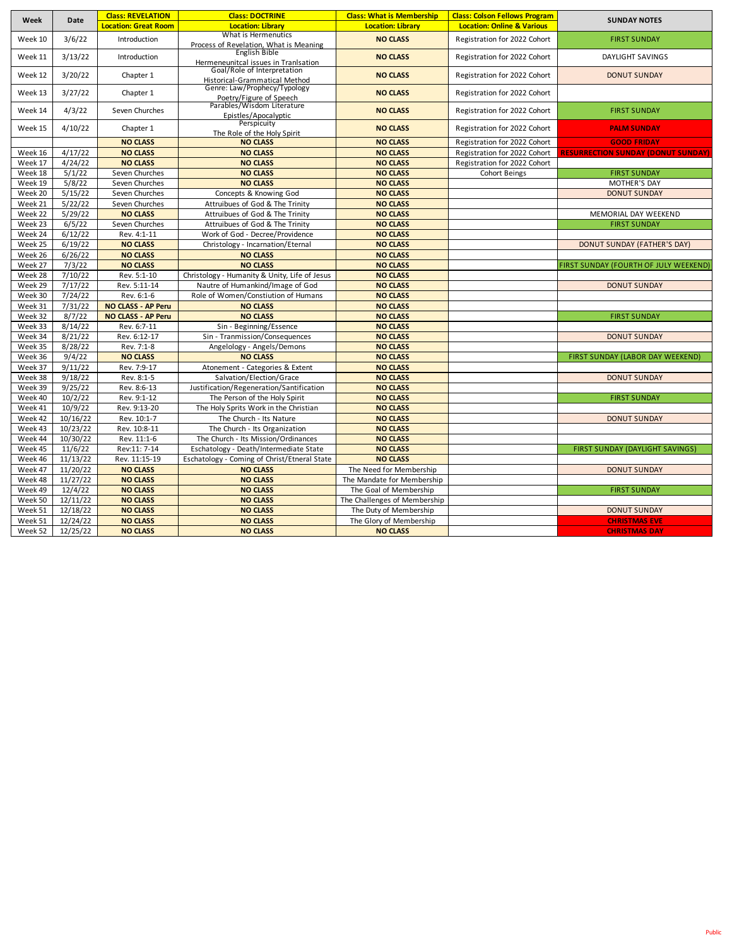| Week    | <b>Date</b> | <b>Class: REVELATION</b>    | <b>Class: DOCTRINE</b>                                              | <b>Class: What is Membership</b> | <b>Class: Colson Fellows Program</b>  |                                          |
|---------|-------------|-----------------------------|---------------------------------------------------------------------|----------------------------------|---------------------------------------|------------------------------------------|
|         |             | <b>Location: Great Room</b> | <b>Location: Library</b>                                            | <b>Location: Library</b>         | <b>Location: Online &amp; Various</b> | <b>SUNDAY NOTES</b>                      |
| Week 10 | 3/6/22      | Introduction                | What is Hermenutics<br>Process of Revelation, What is Meaning       | <b>NO CLASS</b>                  | Registration for 2022 Cohort          | <b>FIRST SUNDAY</b>                      |
| Week 11 | 3/13/22     | Introduction                | English Bible<br>Hermeneunitcal issues in Tranlsation               | <b>NO CLASS</b>                  | Registration for 2022 Cohort          | DAYLIGHT SAVINGS                         |
| Week 12 | 3/20/22     | Chapter 1                   | Goal/Role of Interpretation<br><b>Historical-Grammatical Method</b> | <b>NO CLASS</b>                  | Registration for 2022 Cohort          | <b>DONUT SUNDAY</b>                      |
| Week 13 | 3/27/22     | Chapter 1                   | Genre: Law/Prophecy/Typology<br>Poetry/Figure of Speech             | <b>NO CLASS</b>                  | Registration for 2022 Cohort          |                                          |
| Week 14 | 4/3/22      | Seven Churches              | Parables/Wisdom Literature<br>Epistles/Apocalyptic                  | <b>NO CLASS</b>                  | Registration for 2022 Cohort          | <b>FIRST SUNDAY</b>                      |
| Week 15 | 4/10/22     | Chapter 1                   | Perspicuity<br>The Role of the Holy Spirit                          | <b>NO CLASS</b>                  | Registration for 2022 Cohort          | <b>PALM SUNDAY</b>                       |
|         |             | <b>NO CLASS</b>             | <b>NO CLASS</b>                                                     | <b>NO CLASS</b>                  | Registration for 2022 Cohort          | <b>GOOD FRIDAY</b>                       |
| Week 16 | 4/17/22     | <b>NO CLASS</b>             | <b>NO CLASS</b>                                                     | <b>NO CLASS</b>                  | Registration for 2022 Cohort          | <b>RESURRECTION SUNDAY (DONUT SUNDAY</b> |
| Week 17 | 4/24/22     | <b>NO CLASS</b>             | <b>NO CLASS</b>                                                     | <b>NO CLASS</b>                  | Registration for 2022 Cohort          |                                          |
| Week 18 | 5/1/22      | Seven Churches              | <b>NO CLASS</b>                                                     | <b>NO CLASS</b>                  | Cohort Beings                         | <b>FIRST SUNDAY</b>                      |
| Week 19 | 5/8/22      | Seven Churches              | <b>NO CLASS</b>                                                     | <b>NO CLASS</b>                  |                                       | MOTHER'S DAY                             |
| Week 20 | 5/15/22     | Seven Churches              | Concepts & Knowing God                                              | <b>NO CLASS</b>                  |                                       | <b>DONUT SUNDAY</b>                      |
| Week 21 | 5/22/22     | Seven Churches              | Attruibues of God & The Trinity                                     | <b>NO CLASS</b>                  |                                       |                                          |
| Week 22 | 5/29/22     | <b>NO CLASS</b>             | Attruibues of God & The Trinity                                     | <b>NO CLASS</b>                  |                                       | MEMORIAL DAY WEEKEND                     |
| Week 23 | 6/5/22      | Seven Churches              | Attruibues of God & The Trinity                                     | <b>NO CLASS</b>                  |                                       | <b>FIRST SUNDAY</b>                      |
| Week 24 | 6/12/22     | Rev. 4:1-11                 | Work of God - Decree/Providence                                     | <b>NO CLASS</b>                  |                                       |                                          |
| Week 25 | 6/19/22     | <b>NO CLASS</b>             | Christology - Incarnation/Eternal                                   | <b>NO CLASS</b>                  |                                       | DONUT SUNDAY (FATHER'S DAY)              |
| Week 26 | 6/26/22     | <b>NO CLASS</b>             | <b>NO CLASS</b>                                                     | <b>NO CLASS</b>                  |                                       |                                          |
| Week 27 | 7/3/22      | <b>NO CLASS</b>             | <b>NO CLASS</b>                                                     | <b>NO CLASS</b>                  |                                       | FIRST SUNDAY (FOURTH OF JULY WEEKEND)    |
| Week 28 | 7/10/22     | Rev. 5:1-10                 | Christology - Humanity & Unity, Life of Jesus                       | <b>NO CLASS</b>                  |                                       |                                          |
| Week 29 | 7/17/22     | Rev. 5:11-14                | Nautre of Humankind/Image of God                                    | <b>NO CLASS</b>                  |                                       | <b>DONUT SUNDAY</b>                      |
| Week 30 | 7/24/22     | Rev. 6:1-6                  | Role of Women/Constiution of Humans                                 | <b>NO CLASS</b>                  |                                       |                                          |
| Week 31 | 7/31/22     | <b>NO CLASS - AP Peru</b>   | <b>NO CLASS</b>                                                     | <b>NO CLASS</b>                  |                                       |                                          |
| Week 32 | 8/7/22      | <b>NO CLASS - AP Peru</b>   | <b>NO CLASS</b>                                                     | <b>NO CLASS</b>                  |                                       | <b>FIRST SUNDAY</b>                      |
| Week 33 | 8/14/22     | Rev. 6:7-11                 | Sin - Beginning/Essence                                             | <b>NO CLASS</b>                  |                                       |                                          |
| Week 34 | 8/21/22     | Rev. 6:12-17                | Sin - Tranmission/Consequences                                      | <b>NO CLASS</b>                  |                                       | <b>DONUT SUNDAY</b>                      |
| Week 35 | 8/28/22     | Rev. 7:1-8                  | Angelology - Angels/Demons                                          | <b>NO CLASS</b>                  |                                       |                                          |
| Week 36 | 9/4/22      | <b>NO CLASS</b>             | <b>NO CLASS</b>                                                     | <b>NO CLASS</b>                  |                                       | FIRST SUNDAY (LABOR DAY WEEKEND)         |
| Week 37 | 9/11/22     | Rev. 7:9-17                 | Atonement - Categories & Extent                                     | <b>NO CLASS</b>                  |                                       |                                          |
| Week 38 | 9/18/22     | Rev. 8:1-5                  | Salvation/Election/Grace                                            | <b>NO CLASS</b>                  |                                       | <b>DONUT SUNDAY</b>                      |
| Week 39 | 9/25/22     | Rev. 8:6-13                 | Justification/Regeneration/Santification                            | <b>NO CLASS</b>                  |                                       |                                          |
| Week 40 | 10/2/22     | Rev. 9:1-12                 | The Person of the Holy Spirit                                       | <b>NO CLASS</b>                  |                                       | <b>FIRST SUNDAY</b>                      |
| Week 41 | 10/9/22     | Rev. 9:13-20                | The Holy Sprits Work in the Christian                               | <b>NO CLASS</b>                  |                                       |                                          |
| Week 42 | 10/16/22    | Rev. 10:1-7                 | The Church - Its Nature                                             | <b>NO CLASS</b>                  |                                       | <b>DONUT SUNDAY</b>                      |
| Week 43 | 10/23/22    | Rev. 10:8-11                | The Church - Its Organization                                       | <b>NO CLASS</b>                  |                                       |                                          |
| Week 44 | 10/30/22    | Rev. 11:1-6                 | The Church - Its Mission/Ordinances                                 | <b>NO CLASS</b>                  |                                       |                                          |
| Week 45 | 11/6/22     | Rev:11: 7-14                | Eschatology - Death/Intermediate State                              | <b>NO CLASS</b>                  |                                       | FIRST SUNDAY (DAYLIGHT SAVINGS)          |
| Week 46 | 11/13/22    | Rev. 11:15-19               | Eschatology - Coming of Christ/Etneral State                        | <b>NO CLASS</b>                  |                                       |                                          |
| Week 47 | 11/20/22    | <b>NO CLASS</b>             | <b>NO CLASS</b>                                                     | The Need for Membership          |                                       | <b>DONUT SUNDAY</b>                      |
| Week 48 | 11/27/22    | <b>NO CLASS</b>             | <b>NO CLASS</b>                                                     | The Mandate for Membership       |                                       |                                          |
| Week 49 | 12/4/22     | <b>NO CLASS</b>             | <b>NO CLASS</b>                                                     | The Goal of Membership           |                                       | <b>FIRST SUNDAY</b>                      |
| Week 50 | 12/11/22    | <b>NO CLASS</b>             | <b>NO CLASS</b>                                                     | The Challenges of Membership     |                                       |                                          |
| Week 51 | 12/18/22    | <b>NO CLASS</b>             | <b>NO CLASS</b>                                                     | The Duty of Membership           |                                       | <b>DONUT SUNDAY</b>                      |
| Week 51 | 12/24/22    | <b>NO CLASS</b>             | <b>NO CLASS</b>                                                     | The Glory of Membership          |                                       | <b>CHRISTMAS EVE</b>                     |
| Week 52 | 12/25/22    | <b>NO CLASS</b>             | <b>NO CLASS</b>                                                     | <b>NO CLASS</b>                  |                                       | <b>CHRISTMAS DAY</b>                     |
|         |             |                             |                                                                     |                                  |                                       |                                          |